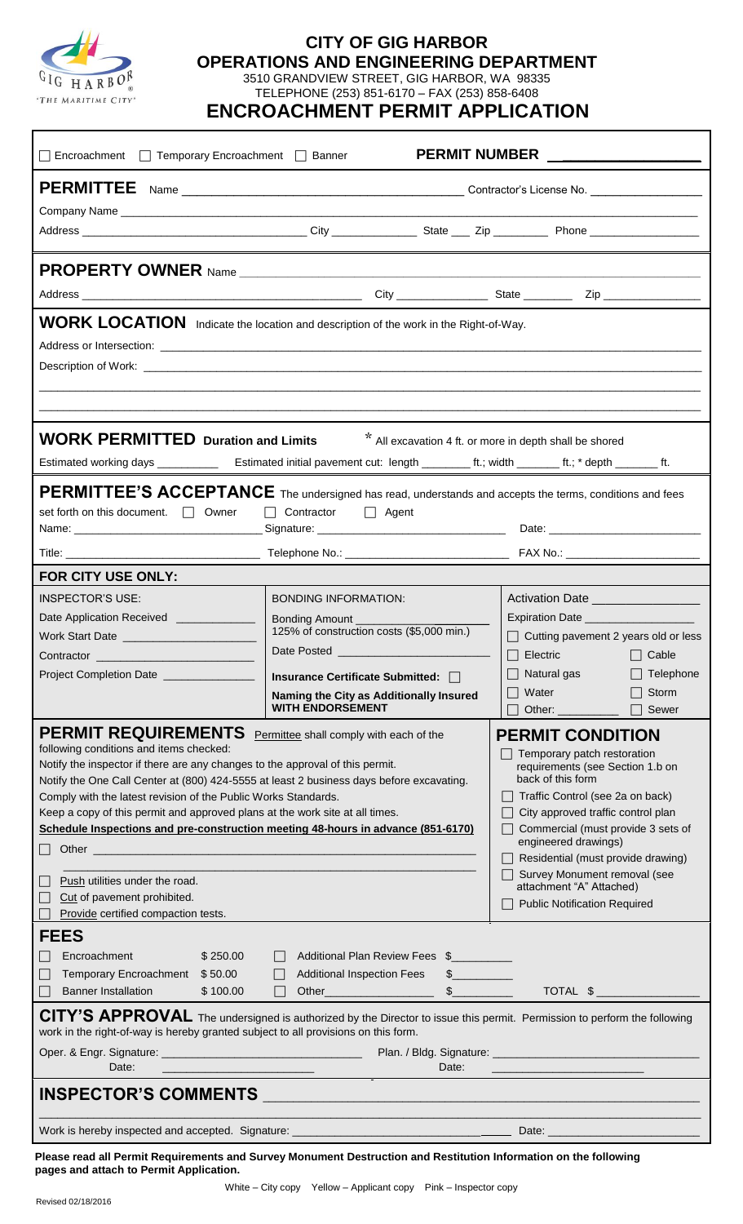

## **CITY OF GIG HARBOR OPERATIONS AND ENGINEERING DEPARTMENT**

3510 GRANDVIEW STREET, GIG HARBOR, WA 98335 TELEPHONE (253) 851-6170 – FAX (253) 858-6408

 **ENCROACHMENT PERMIT APPLICATION**

| □ Encroachment □ Temporary Encroachment □ Banner                                                                                                                                                                                                                                                                                                                                                                                                                                                                                                                                                                                                                                                                                                                                                                   |                                                                                                                                                                                                                                                                                                            |                                                                                                                                                                                                                                                                                                                                                           | <b>PERMIT NUMBER</b>                                                                                                                                                                                                                                                                                                                                                                                                                                                                                                                                                                                                               |                                                    |
|--------------------------------------------------------------------------------------------------------------------------------------------------------------------------------------------------------------------------------------------------------------------------------------------------------------------------------------------------------------------------------------------------------------------------------------------------------------------------------------------------------------------------------------------------------------------------------------------------------------------------------------------------------------------------------------------------------------------------------------------------------------------------------------------------------------------|------------------------------------------------------------------------------------------------------------------------------------------------------------------------------------------------------------------------------------------------------------------------------------------------------------|-----------------------------------------------------------------------------------------------------------------------------------------------------------------------------------------------------------------------------------------------------------------------------------------------------------------------------------------------------------|------------------------------------------------------------------------------------------------------------------------------------------------------------------------------------------------------------------------------------------------------------------------------------------------------------------------------------------------------------------------------------------------------------------------------------------------------------------------------------------------------------------------------------------------------------------------------------------------------------------------------------|----------------------------------------------------|
|                                                                                                                                                                                                                                                                                                                                                                                                                                                                                                                                                                                                                                                                                                                                                                                                                    |                                                                                                                                                                                                                                                                                                            |                                                                                                                                                                                                                                                                                                                                                           |                                                                                                                                                                                                                                                                                                                                                                                                                                                                                                                                                                                                                                    |                                                    |
|                                                                                                                                                                                                                                                                                                                                                                                                                                                                                                                                                                                                                                                                                                                                                                                                                    |                                                                                                                                                                                                                                                                                                            |                                                                                                                                                                                                                                                                                                                                                           |                                                                                                                                                                                                                                                                                                                                                                                                                                                                                                                                                                                                                                    |                                                    |
|                                                                                                                                                                                                                                                                                                                                                                                                                                                                                                                                                                                                                                                                                                                                                                                                                    |                                                                                                                                                                                                                                                                                                            |                                                                                                                                                                                                                                                                                                                                                           |                                                                                                                                                                                                                                                                                                                                                                                                                                                                                                                                                                                                                                    |                                                    |
| <b>PROPERTY OWNER</b> Name                                                                                                                                                                                                                                                                                                                                                                                                                                                                                                                                                                                                                                                                                                                                                                                         |                                                                                                                                                                                                                                                                                                            |                                                                                                                                                                                                                                                                                                                                                           |                                                                                                                                                                                                                                                                                                                                                                                                                                                                                                                                                                                                                                    |                                                    |
|                                                                                                                                                                                                                                                                                                                                                                                                                                                                                                                                                                                                                                                                                                                                                                                                                    |                                                                                                                                                                                                                                                                                                            |                                                                                                                                                                                                                                                                                                                                                           |                                                                                                                                                                                                                                                                                                                                                                                                                                                                                                                                                                                                                                    |                                                    |
| WORK LOCATION Indicate the location and description of the work in the Right-of-Way.                                                                                                                                                                                                                                                                                                                                                                                                                                                                                                                                                                                                                                                                                                                               |                                                                                                                                                                                                                                                                                                            |                                                                                                                                                                                                                                                                                                                                                           |                                                                                                                                                                                                                                                                                                                                                                                                                                                                                                                                                                                                                                    |                                                    |
| <b>WORK PERMITTED Duration and Limits</b>                                                                                                                                                                                                                                                                                                                                                                                                                                                                                                                                                                                                                                                                                                                                                                          |                                                                                                                                                                                                                                                                                                            |                                                                                                                                                                                                                                                                                                                                                           | * All excavation 4 ft. or more in depth shall be shored                                                                                                                                                                                                                                                                                                                                                                                                                                                                                                                                                                            |                                                    |
|                                                                                                                                                                                                                                                                                                                                                                                                                                                                                                                                                                                                                                                                                                                                                                                                                    |                                                                                                                                                                                                                                                                                                            |                                                                                                                                                                                                                                                                                                                                                           |                                                                                                                                                                                                                                                                                                                                                                                                                                                                                                                                                                                                                                    |                                                    |
| PERMITTEE'S ACCEPTANCE The undersigned has read, understands and accepts the terms, conditions and fees<br>set forth on this document. $\Box$ Owner                                                                                                                                                                                                                                                                                                                                                                                                                                                                                                                                                                                                                                                                | Contractor Agent                                                                                                                                                                                                                                                                                           |                                                                                                                                                                                                                                                                                                                                                           |                                                                                                                                                                                                                                                                                                                                                                                                                                                                                                                                                                                                                                    |                                                    |
|                                                                                                                                                                                                                                                                                                                                                                                                                                                                                                                                                                                                                                                                                                                                                                                                                    |                                                                                                                                                                                                                                                                                                            |                                                                                                                                                                                                                                                                                                                                                           |                                                                                                                                                                                                                                                                                                                                                                                                                                                                                                                                                                                                                                    |                                                    |
| FOR CITY USE ONLY:<br><b>INSPECTOR'S USE:</b><br>Date Application Received ______________<br>Work Start Date ____________________<br>Contractor <b>Contractor Contractor</b><br><b>Project Completion Date</b><br><b>PERMIT REQUIREMENTS</b><br>following conditions and items checked:<br>Notify the inspector if there are any changes to the approval of this permit.<br>Notify the One Call Center at (800) 424-5555 at least 2 business days before excavating.<br>Comply with the latest revision of the Public Works Standards.<br>Keep a copy of this permit and approved plans at the work site at all times.<br>Schedule Inspections and pre-construction meeting 48-hours in advance (851-6170)<br>Push utilities under the road.<br>Cut of pavement prohibited.<br>Provide certified compaction tests. | <b>BONDING INFORMATION:</b><br>Bonding Amount _____________<br>125% of construction costs (\$5,000 min.)<br>Insurance Certificate Submitted: □<br>Naming the City as Additionally Insured<br><b>WITH ENDORSEMENT</b><br>Permittee shall comply with each of the                                            |                                                                                                                                                                                                                                                                                                                                                           | $\Box$ Cutting pavement 2 years old or less<br>$\Box$ Electric $\Box$<br>$\Box$ Natural gas<br>$\Box$ Water<br>Other: and the state of the state of the state of the state of the state of the state of the state of the state<br><b>PERMIT CONDITION</b><br>Temporary patch restoration<br>requirements (see Section 1.b on<br>back of this form<br>Traffic Control (see 2a on back)<br>City approved traffic control plan<br>Commercial (must provide 3 sets of<br>engineered drawings)<br>Residential (must provide drawing)<br>Survey Monument removal (see<br>attachment "A" Attached)<br><b>Public Notification Required</b> | $\Box$ Cable<br>$\Box$ Telephone<br>Storm<br>Sewer |
| <b>FEES</b><br>Encroachment<br>\$250.00<br>Temporary Encroachment \$50.00<br><b>Banner Installation</b><br>\$100.00<br>CITY'S APPROVAL The undersigned is authorized by the Director to issue this permit. Permission to perform the following<br>work in the right-of-way is hereby granted subject to all provisions on this form.<br>Date:<br><u> 1990 - Jan Barnett, mars et al. (</u>                                                                                                                                                                                                                                                                                                                                                                                                                         | Additional Plan Review Fees \$<br><b>Additional Inspection Fees</b><br>Other <b>Community</b> Charles Community Charles Charles Charles Charles Charles Charles Charles Charles Charles Charles Charles Charles Charles Charles Charles Charles Charles Charles Charles Charles Charles Charles Charles Ch | $\mathbb S$ and $\mathbb S$ and $\mathbb S$ and $\mathbb S$ and $\mathbb S$ and $\mathbb S$ and $\mathbb S$ and $\mathbb S$ and $\mathbb S$ and $\mathbb S$ and $\mathbb S$ and $\mathbb S$ and $\mathbb S$ and $\mathbb S$ and $\mathbb S$ and $\mathbb S$ and $\mathbb S$ and $\mathbb S$ and $\mathbb S$ and $\mathbb S$ and<br>$\frac{1}{2}$<br>Date: | TOTAL \$<br><u> 1989 - John Stein, Amerikaansk politiker (</u>                                                                                                                                                                                                                                                                                                                                                                                                                                                                                                                                                                     |                                                    |
| INSPECTOR'S COMMENTS NARROW AND COMMENTS NARROW AND THE COMMENTS OF THE COMMENTS OF THE COMMENTS OF THE COMMENTS                                                                                                                                                                                                                                                                                                                                                                                                                                                                                                                                                                                                                                                                                                   |                                                                                                                                                                                                                                                                                                            |                                                                                                                                                                                                                                                                                                                                                           |                                                                                                                                                                                                                                                                                                                                                                                                                                                                                                                                                                                                                                    |                                                    |

**Please read all Permit Requirements and Survey Monument Destruction and Restitution Information on the following pages and attach to Permit Application.**